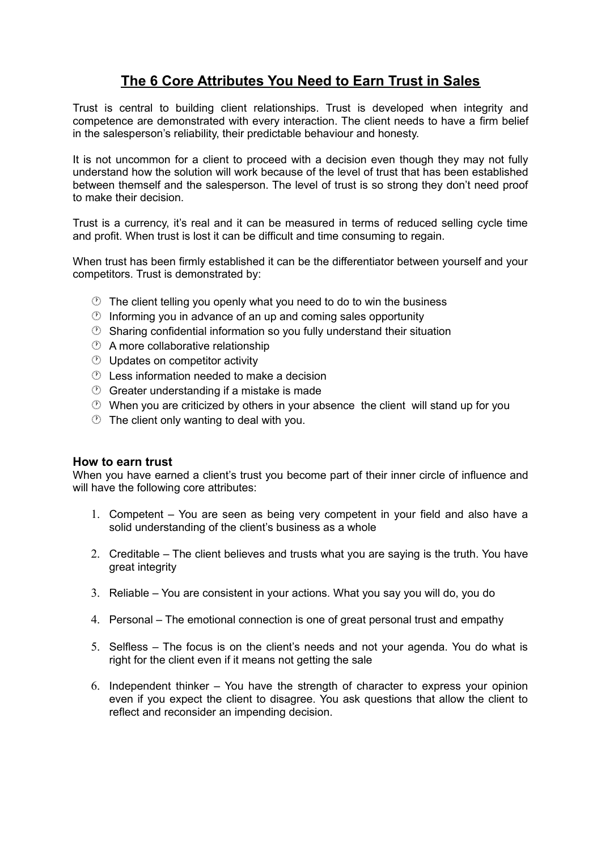## **The 6 Core Attributes You Need to Earn Trust in Sales**

Trust is central to building client relationships. Trust is developed when integrity and competence are demonstrated with every interaction. The client needs to have a firm belief in the salesperson's reliability, their predictable behaviour and honesty.

It is not uncommon for a client to proceed with a decision even though they may not fully understand how the solution will work because of the level of trust that has been established between themself and the salesperson. The level of trust is so strong they don't need proof to make their decision.

Trust is a currency, it's real and it can be measured in terms of reduced selling cycle time and profit. When trust is lost it can be difficult and time consuming to regain.

When trust has been firmly established it can be the differentiator between yourself and your competitors. Trust is demonstrated by:

- $\circled{1}$  The client telling you openly what you need to do to win the business
- $\circled{1}$  Informing you in advance of an up and coming sales opportunity
- $\circled{2}$  Sharing confidential information so you fully understand their situation
- A more collaborative relationship
- Updates on competitor activity
- Less information needed to make a decision
- $\circled{C}$  Greater understanding if a mistake is made
- When you are criticized by others in your absence the client will stand up for you
- The client only wanting to deal with you.

## **How to earn trust**

When you have earned a client's trust you become part of their inner circle of influence and will have the following core attributes:

- 1. Competent You are seen as being very competent in your field and also have a solid understanding of the client's business as a whole
- 2. Creditable The client believes and trusts what you are saying is the truth. You have great integrity
- 3. Reliable You are consistent in your actions. What you say you will do, you do
- 4. Personal The emotional connection is one of great personal trust and empathy
- 5. Selfless The focus is on the client's needs and not your agenda. You do what is right for the client even if it means not getting the sale
- 6. Independent thinker You have the strength of character to express your opinion even if you expect the client to disagree. You ask questions that allow the client to reflect and reconsider an impending decision.